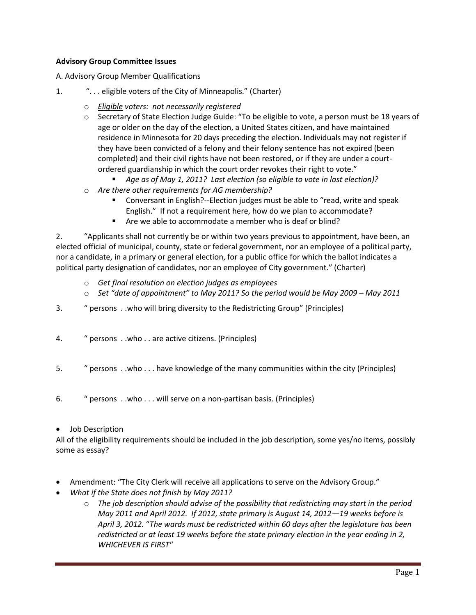## **Advisory Group Committee Issues**

A. Advisory Group Member Qualifications

- 1. ". . . eligible voters of the City of Minneapolis." (Charter)
	- o *Eligible voters: not necessarily registered*
	- o Secretary of State Election Judge Guide: "To be eligible to vote, a person must be 18 years of age or older on the day of the election, a United States citizen, and have maintained residence in Minnesota for 20 days preceding the election. Individuals may not register if they have been convicted of a felony and their felony sentence has not expired (been completed) and their civil rights have not been restored, or if they are under a courtordered guardianship in which the court order revokes their right to vote."
		- *Age as of May 1, 2011? Last election (so eligible to vote in last election)?*
	- o *Are there other requirements for AG membership?*
		- Conversant in English?--Election judges must be able to "read, write and speak English." If not a requirement here, how do we plan to accommodate?
		- Are we able to accommodate a member who is deaf or blind?

2. "Applicants shall not currently be or within two years previous to appointment, have been, an elected official of municipal, county, state or federal government, nor an employee of a political party, nor a candidate, in a primary or general election, for a public office for which the ballot indicates a political party designation of candidates, nor an employee of City government." (Charter)

- o *Get final resolution on election judges as employees*
- o *Set "date of appointment" to May 2011? So the period would be May 2009 – May 2011*
- 3. " persons . .who will bring diversity to the Redistricting Group" (Principles)
- 4. " persons . .who . . are active citizens. (Principles)
- 5. " persons . .who . . . have knowledge of the many communities within the city (Principles)
- 6. " persons . .who . . . will serve on a non-partisan basis. (Principles)
- Job Description

All of the eligibility requirements should be included in the job description, some yes/no items, possibly some as essay?

- Amendment: "The City Clerk will receive all applications to serve on the Advisory Group."
- *What if the State does not finish by May 2011?*
	- o *The job description should advise of the possibility that redistricting may start in the period May 2011 and April 2012. If 2012, state primary is August 14, 2012—19 weeks before is April 3, 2012.* "*The wards must be redistricted within 60 days after the legislature has been redistricted or at least 19 weeks before the state primary election in the year ending in 2, WHICHEVER IS FIRST"*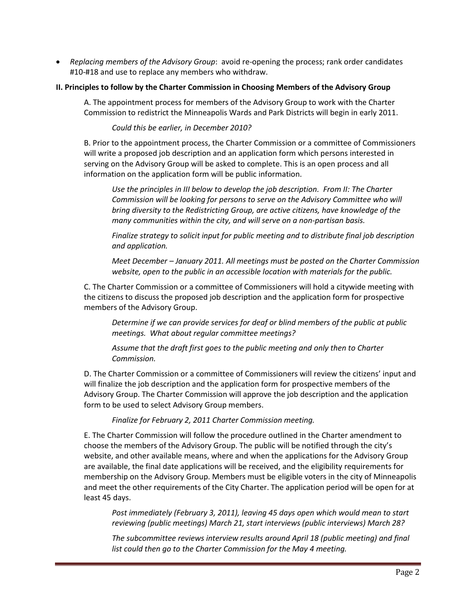• *Replacing members of the Advisory Group*: avoid re-opening the process; rank order candidates #10-#18 and use to replace any members who withdraw.

## **II. Principles to follow by the Charter Commission in Choosing Members of the Advisory Group**

A. The appointment process for members of the Advisory Group to work with the Charter Commission to redistrict the Minneapolis Wards and Park Districts will begin in early 2011.

*Could this be earlier, in December 2010?*

B. Prior to the appointment process, the Charter Commission or a committee of Commissioners will write a proposed job description and an application form which persons interested in serving on the Advisory Group will be asked to complete. This is an open process and all information on the application form will be public information.

*Use the principles in III below to develop the job description. From II: The Charter Commission will be looking for persons to serve on the Advisory Committee who will bring diversity to the Redistricting Group, are active citizens, have knowledge of the many communities within the city, and will serve on a non-partisan basis.*

*Finalize strategy to solicit input for public meeting and to distribute final job description and application.*

*Meet December – January 2011. All meetings must be posted on the Charter Commission website, open to the public in an accessible location with materials for the public.*

C. The Charter Commission or a committee of Commissioners will hold a citywide meeting with the citizens to discuss the proposed job description and the application form for prospective members of the Advisory Group.

*Determine if we can provide services for deaf or blind members of the public at public meetings. What about regular committee meetings?*

*Assume that the draft first goes to the public meeting and only then to Charter Commission.* 

D. The Charter Commission or a committee of Commissioners will review the citizens' input and will finalize the job description and the application form for prospective members of the Advisory Group. The Charter Commission will approve the job description and the application form to be used to select Advisory Group members.

*Finalize for February 2, 2011 Charter Commission meeting.*

E. The Charter Commission will follow the procedure outlined in the Charter amendment to choose the members of the Advisory Group. The public will be notified through the city's website, and other available means, where and when the applications for the Advisory Group are available, the final date applications will be received, and the eligibility requirements for membership on the Advisory Group. Members must be eligible voters in the city of Minneapolis and meet the other requirements of the City Charter. The application period will be open for at least 45 days.

*Post immediately (February 3, 2011), leaving 45 days open which would mean to start reviewing (public meetings) March 21, start interviews (public interviews) March 28?*

*The subcommittee reviews interview results around April 18 (public meeting) and final list could then go to the Charter Commission for the May 4 meeting.*